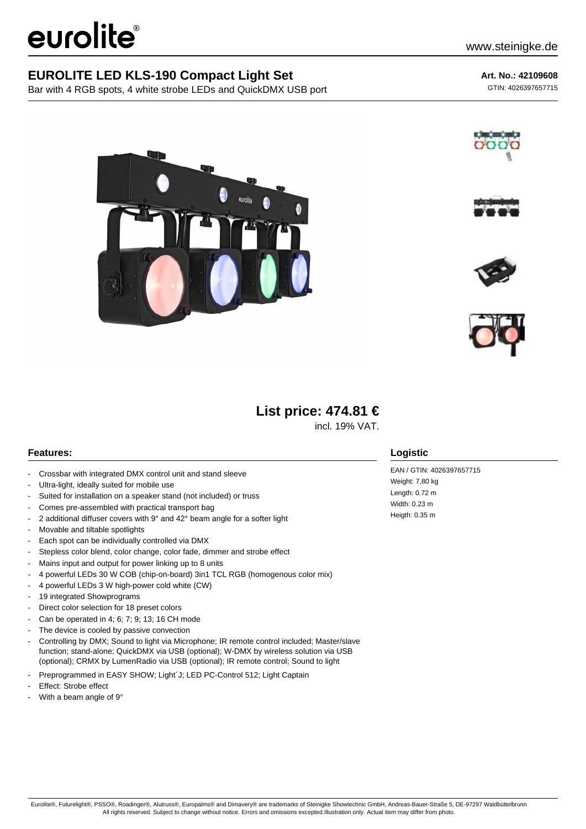# eurolite®

### **EUROLITE LED KLS-190 Compact Light Set**

Bar with 4 RGB spots, 4 white strobe LEDs and QuickDMX USB port

**Art. No.: 42109608** GTIN: 4026397657715











# **List price: 474.81 €**

incl. 19% VAT.

#### **Features:**

- Crossbar with integrated DMX control unit and stand sleeve
- Ultra-light, ideally suited for mobile use
- Suited for installation on a speaker stand (not included) or truss
- Comes pre-assembled with practical transport bag
- 2 additional diffuser covers with 9° and 42° beam angle for a softer light
- Movable and tiltable spotlights
- Each spot can be individually controlled via DMX
- Stepless color blend, color change, color fade, dimmer and strobe effect
- Mains input and output for power linking up to 8 units
- 4 powerful LEDs 30 W COB (chip-on-board) 3in1 TCL RGB (homogenous color mix)
- 4 powerful LEDs 3 W high-power cold white (CW)
- 19 integrated Showprograms
- Direct color selection for 18 preset colors
- Can be operated in 4; 6; 7; 9; 13; 16 CH mode
- The device is cooled by passive convection
- Controlling by DMX; Sound to light via Microphone; IR remote control included; Master/slave function; stand-alone; QuickDMX via USB (optional); W-DMX by wireless solution via USB (optional); CRMX by LumenRadio via USB (optional); IR remote control; Sound to light
- Preprogrammed in EASY SHOW; Light'J; LED PC-Control 512; Light Captain
- Effect: Strobe effect
- With a beam angle of 9°

#### **Logistic**

EAN / GTIN: 4026397657715 Weight: 7,80 kg Length: 0.72 m Width: 0.23 m Heigth: 0.35 m

Eurolite®, Futurelight®, PSSO®, Roadinger®, Alutruss®, Europalms® and Dimavery® are trademarks of Steinigke Showtechnic GmbH, Andreas-Bauer-Straße 5, DE-97297 Waldbüttelbrunn All rights reserved. Subject to change without notice. Errors and omissions excepted.Illustration only. Actual item may differ from photo.